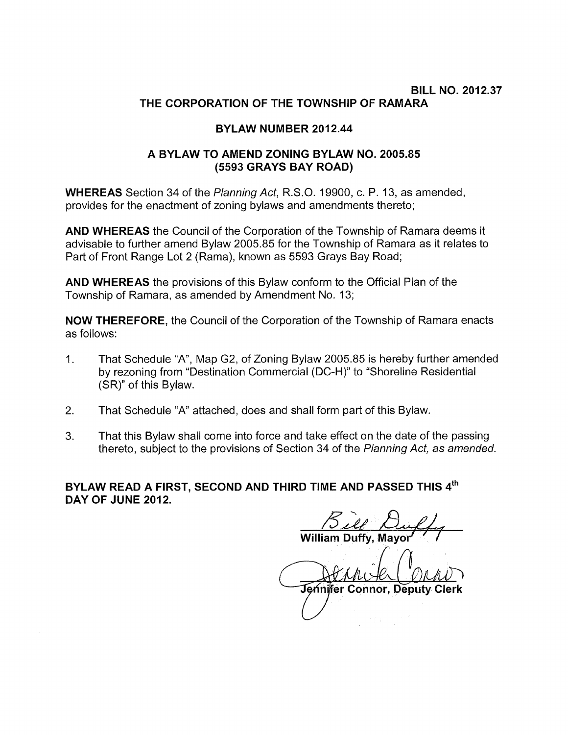## BILL NO. 2012.37 THE CORPORATION OF THE TOWNSHIP OF RAMARA

## BYLAW NUMBER 2012.44

## A BYLAW TO AMEND ZONING BYLAW NO. 2005.85 (5593 GRAYS BAY ROAD)

WHEREAS Section 34 of the Planning Act, R.S.O. 19900, c. P. 13, as amended, provides for the enactment of zoning bylaws and amendments thereto;

AND WHEREAS the Council of the Corporation of the Township of Ramara deems it advisable to further amend Bylaw 2005.85 for the Township of Ramara as it relates to Part of Front Range Lot 2 (Rama), known as 5593 Grays Bay Road;

AND WHEREAS the provisions of this Bylaw conform to the Official Plan of the Township of Ramara, as amended by Amendment No. 13;

NOW THEREFORE, the Council of the Corporation of the Township of Ramara enacts as follows:

- 1. That Schedule "A", Map G2, of Zoning Bylaw 2005.85 is hereby further amended by rezoning from "Destination Commercial (DC-H)" to "Shoreline Residential (SR)" of this Bylaw.
- 2. That Schedule "A" attached, does and shall form part of this Bylaw.
- 3. That this Bylaw shall come into force and take effect on the date of the passing thereto, subject to the provisions of Section 34 of the Planning Act, as amended.

BYLAW READ A FIRST, SECOND AND THIRD TIME AND PASSED THIS  $\boldsymbol{4}^{\text{th}}$ DAY OF JUNE 2012.

William  $\beta$  is  $\theta$ Duffy, Mayor' ne date of the<br>*nning Act, as*<br>SSED THIS<br>*Aayor* ' /

Jennifer Connor, Deputy Clerk